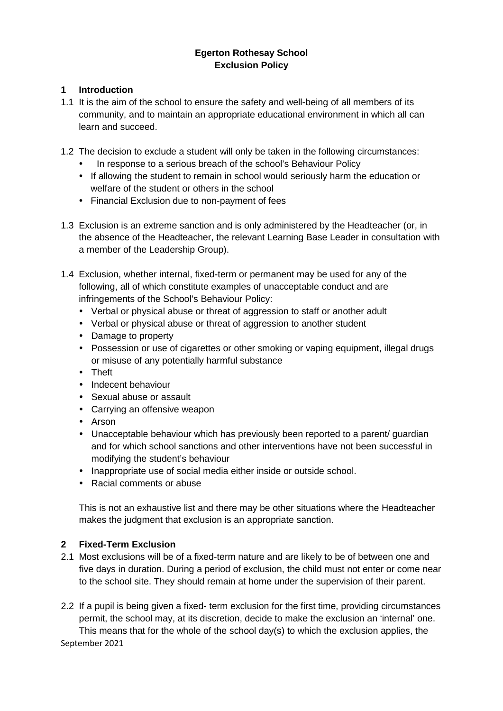# **Egerton Rothesay School Exclusion Policy**

### **1 Introduction**

- 1.1 It is the aim of the school to ensure the safety and well-being of all members of its community, and to maintain an appropriate educational environment in which all can learn and succeed.
- 1.2 The decision to exclude a student will only be taken in the following circumstances:
	- In response to a serious breach of the school's Behaviour Policy
	- If allowing the student to remain in school would seriously harm the education or welfare of the student or others in the school
	- Financial Exclusion due to non-payment of fees
- 1.3 Exclusion is an extreme sanction and is only administered by the Headteacher (or, in the absence of the Headteacher, the relevant Learning Base Leader in consultation with a member of the Leadership Group).
- 1.4 Exclusion, whether internal, fixed-term or permanent may be used for any of the following, all of which constitute examples of unacceptable conduct and are infringements of the School's Behaviour Policy:
	- Verbal or physical abuse or threat of aggression to staff or another adult
	- Verbal or physical abuse or threat of aggression to another student
	- Damage to property
	- Possession or use of cigarettes or other smoking or vaping equipment, illegal drugs or misuse of any potentially harmful substance
	- Theft
	- Indecent behaviour
	- Sexual abuse or assault
	- Carrying an offensive weapon
	- Arson
	- Unacceptable behaviour which has previously been reported to a parent/ guardian and for which school sanctions and other interventions have not been successful in modifying the student's behaviour
	- Inappropriate use of social media either inside or outside school.
	- Racial comments or abuse

This is not an exhaustive list and there may be other situations where the Headteacher makes the judgment that exclusion is an appropriate sanction.

# **2 Fixed-Term Exclusion**

- 2.1 Most exclusions will be of a fixed-term nature and are likely to be of between one and five days in duration. During a period of exclusion, the child must not enter or come near to the school site. They should remain at home under the supervision of their parent.
- 2.2 If a pupil is being given a fixed- term exclusion for the first time, providing circumstances permit, the school may, at its discretion, decide to make the exclusion an 'internal' one. This means that for the whole of the school day(s) to which the exclusion applies, the

September 2021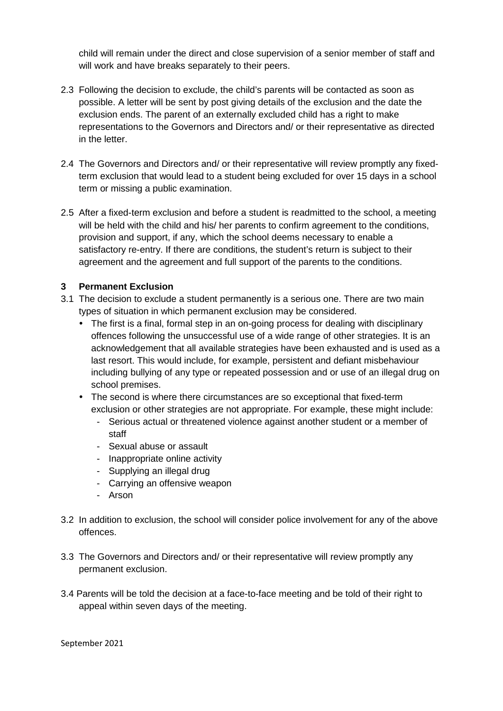child will remain under the direct and close supervision of a senior member of staff and will work and have breaks separately to their peers.

- 2.3 Following the decision to exclude, the child's parents will be contacted as soon as possible. A letter will be sent by post giving details of the exclusion and the date the exclusion ends. The parent of an externally excluded child has a right to make representations to the Governors and Directors and/ or their representative as directed in the letter.
- 2.4 The Governors and Directors and/ or their representative will review promptly any fixedterm exclusion that would lead to a student being excluded for over 15 days in a school term or missing a public examination.
- 2.5 After a fixed-term exclusion and before a student is readmitted to the school, a meeting will be held with the child and his/ her parents to confirm agreement to the conditions, provision and support, if any, which the school deems necessary to enable a satisfactory re-entry. If there are conditions, the student's return is subject to their agreement and the agreement and full support of the parents to the conditions.

# **3 Permanent Exclusion**

- 3.1 The decision to exclude a student permanently is a serious one. There are two main types of situation in which permanent exclusion may be considered.
	- The first is a final, formal step in an on-going process for dealing with disciplinary offences following the unsuccessful use of a wide range of other strategies. It is an acknowledgement that all available strategies have been exhausted and is used as a last resort. This would include, for example, persistent and defiant misbehaviour including bullying of any type or repeated possession and or use of an illegal drug on school premises.
	- The second is where there circumstances are so exceptional that fixed-term exclusion or other strategies are not appropriate. For example, these might include:
		- Serious actual or threatened violence against another student or a member of staff
		- Sexual abuse or assault
		- Inappropriate online activity
		- Supplying an illegal drug
		- Carrying an offensive weapon
		- Arson
- 3.2 In addition to exclusion, the school will consider police involvement for any of the above offences.
- 3.3 The Governors and Directors and/ or their representative will review promptly any permanent exclusion.
- 3.4 Parents will be told the decision at a face-to-face meeting and be told of their right to appeal within seven days of the meeting.